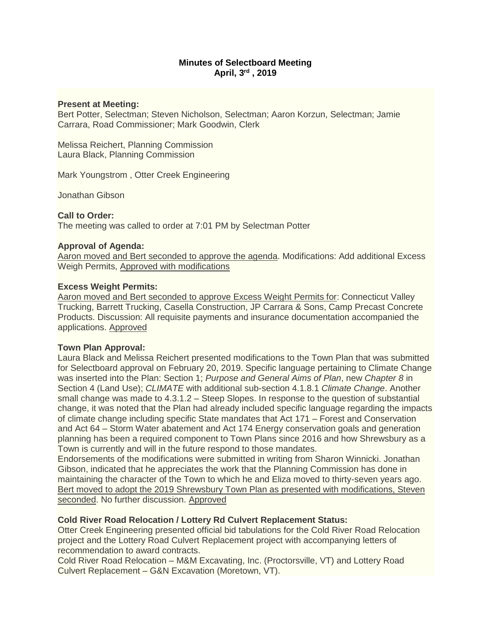# **Minutes of Selectboard Meeting April, 3rd , 2019**

## **Present at Meeting:**

Bert Potter, Selectman; Steven Nicholson, Selectman; Aaron Korzun, Selectman; Jamie Carrara, Road Commissioner; Mark Goodwin, Clerk

Melissa Reichert, Planning Commission Laura Black, Planning Commission

Mark Youngstrom , Otter Creek Engineering

Jonathan Gibson

## **Call to Order:**

The meeting was called to order at 7:01 PM by Selectman Potter

#### **Approval of Agenda:**

Aaron moved and Bert seconded to approve the agenda. Modifications: Add additional Excess Weigh Permits, Approved with modifications

#### **Excess Weight Permits:**

Aaron moved and Bert seconded to approve Excess Weight Permits for: Connecticut Valley Trucking, Barrett Trucking, Casella Construction, JP Carrara & Sons, Camp Precast Concrete Products. Discussion: All requisite payments and insurance documentation accompanied the applications. Approved

#### **Town Plan Approval:**

Laura Black and Melissa Reichert presented modifications to the Town Plan that was submitted for Selectboard approval on February 20, 2019. Specific language pertaining to Climate Change was inserted into the Plan: Section 1; *Purpose and General Aims of Plan*, new *Chapter 8* in Section 4 (Land Use); *CLIMATE* with additional sub-section 4.1.8.1 *Climate Change*. Another small change was made to 4.3.1.2 – Steep Slopes. In response to the question of substantial change, it was noted that the Plan had already included specific language regarding the impacts of climate change including specific State mandates that Act 171 – Forest and Conservation and Act 64 – Storm Water abatement and Act 174 Energy conservation goals and generation planning has been a required component to Town Plans since 2016 and how Shrewsbury as a Town is currently and will in the future respond to those mandates.

Endorsements of the modifications were submitted in writing from Sharon Winnicki. Jonathan Gibson, indicated that he appreciates the work that the Planning Commission has done in maintaining the character of the Town to which he and Eliza moved to thirty-seven years ago. Bert moved to adopt the 2019 Shrewsbury Town Plan as presented with modifications, Steven seconded. No further discussion. Approved

## **Cold River Road Relocation / Lottery Rd Culvert Replacement Status:**

Otter Creek Engineering presented official bid tabulations for the Cold River Road Relocation project and the Lottery Road Culvert Replacement project with accompanying letters of recommendation to award contracts.

Cold River Road Relocation – M&M Excavating, Inc. (Proctorsville, VT) and Lottery Road Culvert Replacement – G&N Excavation (Moretown, VT).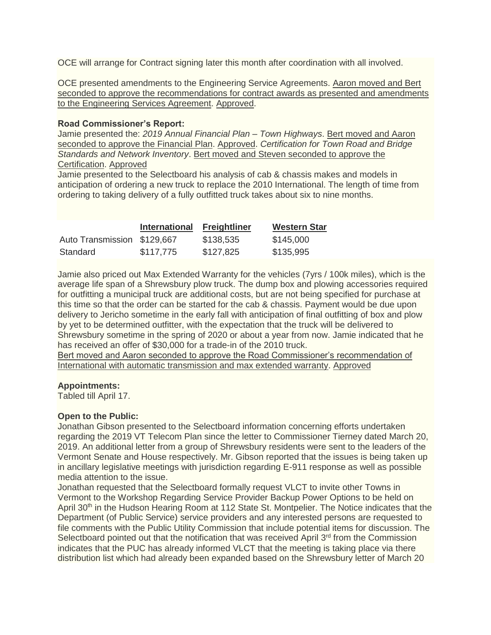OCE will arrange for Contract signing later this month after coordination with all involved.

OCE presented amendments to the Engineering Service Agreements. Aaron moved and Bert seconded to approve the recommendations for contract awards as presented and amendments to the Engineering Services Agreement. Approved.

# **Road Commissioner's Report:**

Jamie presented the: *2019 Annual Financial Plan – Town Highways*. Bert moved and Aaron seconded to approve the Financial Plan. Approved. *Certification for Town Road and Bridge Standards and Network Inventory*. Bert moved and Steven seconded to approve the Certification. Approved

Jamie presented to the Selectboard his analysis of cab & chassis makes and models in anticipation of ordering a new truck to replace the 2010 International. The length of time from ordering to taking delivery of a fully outfitted truck takes about six to nine months.

|                             | International | <b>Freightliner</b> | <b>Western Star</b> |
|-----------------------------|---------------|---------------------|---------------------|
| Auto Transmission \$129,667 |               | \$138,535           | \$145,000           |
| Standard                    | \$117,775     | \$127,825           | \$135,995           |

Jamie also priced out Max Extended Warranty for the vehicles (7yrs / 100k miles), which is the average life span of a Shrewsbury plow truck. The dump box and plowing accessories required for outfitting a municipal truck are additional costs, but are not being specified for purchase at this time so that the order can be started for the cab & chassis. Payment would be due upon delivery to Jericho sometime in the early fall with anticipation of final outfitting of box and plow by yet to be determined outfitter, with the expectation that the truck will be delivered to Shrewsbury sometime in the spring of 2020 or about a year from now. Jamie indicated that he has received an offer of \$30,000 for a trade-in of the 2010 truck.

Bert moved and Aaron seconded to approve the Road Commissioner's recommendation of International with automatic transmission and max extended warranty. Approved

## **Appointments:**

Tabled till April 17.

# **Open to the Public:**

Jonathan Gibson presented to the Selectboard information concerning efforts undertaken regarding the 2019 VT Telecom Plan since the letter to Commissioner Tierney dated March 20, 2019. An additional letter from a group of Shrewsbury residents were sent to the leaders of the Vermont Senate and House respectively. Mr. Gibson reported that the issues is being taken up in ancillary legislative meetings with jurisdiction regarding E-911 response as well as possible media attention to the issue.

Jonathan requested that the Selectboard formally request VLCT to invite other Towns in Vermont to the Workshop Regarding Service Provider Backup Power Options to be held on April 30<sup>th</sup> in the Hudson Hearing Room at 112 State St. Montpelier. The Notice indicates that the Department (of Public Service) service providers and any interested persons are requested to file comments with the Public Utility Commission that include potential items for discussion. The Selectboard pointed out that the notification that was received April 3<sup>rd</sup> from the Commission indicates that the PUC has already informed VLCT that the meeting is taking place via there distribution list which had already been expanded based on the Shrewsbury letter of March 20